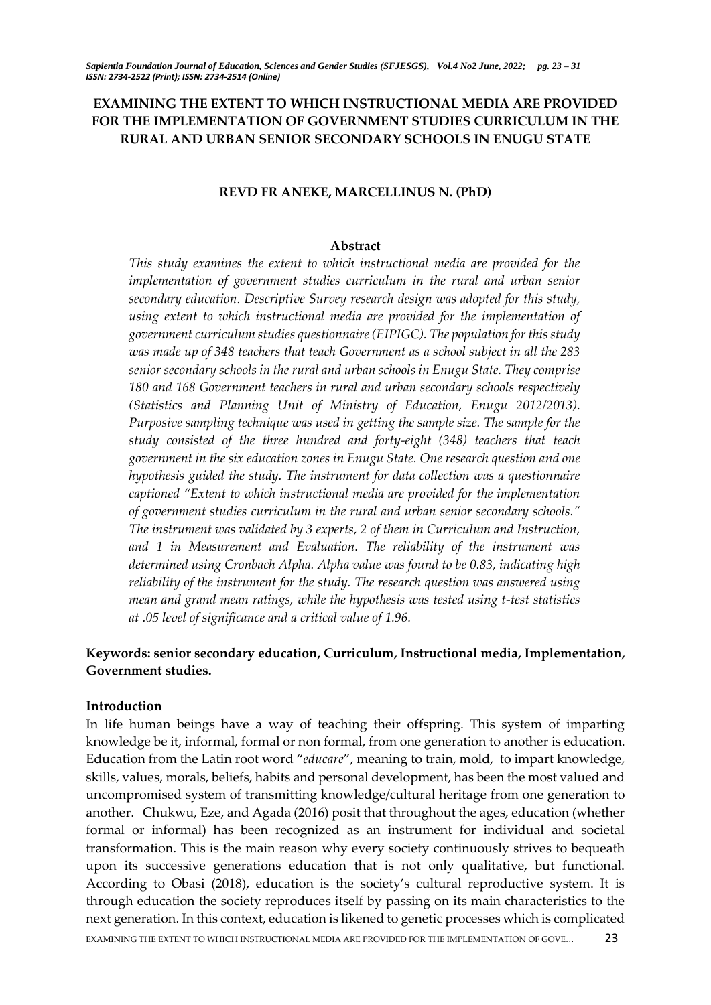# **EXAMINING THE EXTENT TO WHICH INSTRUCTIONAL MEDIA ARE PROVIDED FOR THE IMPLEMENTATION OF GOVERNMENT STUDIES CURRICULUM IN THE RURAL AND URBAN SENIOR SECONDARY SCHOOLS IN ENUGU STATE**

### **REVD FR ANEKE, MARCELLINUS N. (PhD)**

#### **Abstract**

*This study examines the extent to which instructional media are provided for the implementation of government studies curriculum in the rural and urban senior secondary education. Descriptive Survey research design was adopted for this study, using extent to which instructional media are provided for the implementation of government curriculum studies questionnaire (EIPIGC). The population for this study was made up of 348 teachers that teach Government as a school subject in all the 283 senior secondary schools in the rural and urban schools in Enugu State. They comprise 180 and 168 Government teachers in rural and urban secondary schools respectively (Statistics and Planning Unit of Ministry of Education, Enugu 2012/2013). Purposive sampling technique was used in getting the sample size. The sample for the study consisted of the three hundred and forty-eight (348) teachers that teach government in the six education zones in Enugu State. One research question and one hypothesis guided the study. The instrument for data collection was a questionnaire captioned "Extent to which instructional media are provided for the implementation of government studies curriculum in the rural and urban senior secondary schools." The instrument was validated by 3 experts, 2 of them in Curriculum and Instruction, and 1 in Measurement and Evaluation. The reliability of the instrument was determined using Cronbach Alpha. Alpha value was found to be 0.83, indicating high reliability of the instrument for the study. The research question was answered using mean and grand mean ratings, while the hypothesis was tested using t-test statistics at .05 level of significance and a critical value of 1.96.*

# **Keywords: senior secondary education, Curriculum, Instructional media, Implementation, Government studies.**

#### **Introduction**

EXAMINING THE EXTENT TO WHICH INSTRUCTIONAL MEDIA ARE PROVIDED FOR THE IMPLEMENTATION OF GOVE… 23 In life human beings have a way of teaching their offspring. This system of imparting knowledge be it, informal, formal or non formal, from one generation to another is education. Education from the Latin root word "*educare*", meaning to train, mold, to impart knowledge, skills, values, morals, beliefs, habits and personal development, has been the most valued and uncompromised system of transmitting knowledge/cultural heritage from one generation to another. Chukwu, Eze, and Agada (2016) posit that throughout the ages, education (whether formal or informal) has been recognized as an instrument for individual and societal transformation. This is the main reason why every society continuously strives to bequeath upon its successive generations education that is not only qualitative, but functional. According to Obasi (2018), education is the society's cultural reproductive system. It is through education the society reproduces itself by passing on its main characteristics to the next generation. In this context, education is likened to genetic processes which is complicated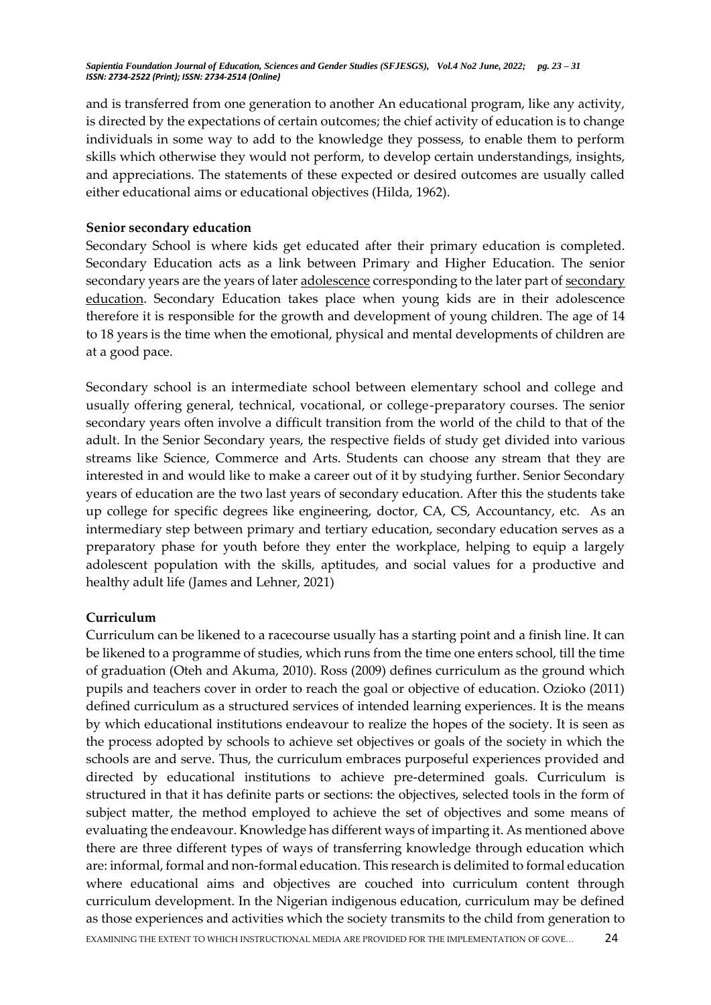and is transferred from one generation to another An educational program, like any activity, is directed by the expectations of certain outcomes; the chief activity of education is to change individuals in some way to add to the knowledge they possess, to enable them to perform skills which otherwise they would not perform, to develop certain understandings, insights, and appreciations. The statements of these expected or desired outcomes are usually called either educational aims or educational objectives (Hilda, 1962).

### **Senior secondary education**

Secondary School is where kids get educated after their primary education is completed. Secondary Education acts as a link between Primary and Higher Education. The senior secondary years are the years of later [adolescence](https://en.wikipedia.org/wiki/Adolescence) corresponding to the later part of [secondary](https://en.wikipedia.org/wiki/Secondary_education)  [education.](https://en.wikipedia.org/wiki/Secondary_education) Secondary Education takes place when young kids are in their adolescence therefore it is responsible for the growth and development of young children. The age of 14 to 18 years is the time when the emotional, physical and mental developments of children are at a good pace.

Secondary school is an intermediate school between elementary school and college and usually offering general, technical, vocational, or college-preparatory courses. The senior secondary years often involve a difficult transition from the world of the child to that of the adult. In the Senior Secondary years, the respective fields of study get divided into various streams like Science, Commerce and Arts. Students can choose any stream that they are interested in and would like to make a career out of it by studying further. Senior Secondary years of education are the two last years of secondary education. After this the students take up college for specific degrees like engineering, doctor, CA, CS, Accountancy, etc. As an intermediary step between primary and tertiary education, secondary education serves as a preparatory phase for youth before they enter the workplace, helping to equip a largely adolescent population with the skills, aptitudes, and social values for a productive and healthy adult life (James and Lehner, 2021)

## **Curriculum**

EXAMINING THE EXTENT TO WHICH INSTRUCTIONAL MEDIA ARE PROVIDED FOR THE IMPLEMENTATION OF GOVE… 24 Curriculum can be likened to a racecourse usually has a starting point and a finish line. It can be likened to a programme of studies, which runs from the time one enters school, till the time of graduation (Oteh and Akuma, 2010). Ross (2009) defines curriculum as the ground which pupils and teachers cover in order to reach the goal or objective of education. Ozioko (2011) defined curriculum as a structured services of intended learning experiences. It is the means by which educational institutions endeavour to realize the hopes of the society. It is seen as the process adopted by schools to achieve set objectives or goals of the society in which the schools are and serve. Thus, the curriculum embraces purposeful experiences provided and directed by educational institutions to achieve pre-determined goals. Curriculum is structured in that it has definite parts or sections: the objectives, selected tools in the form of subject matter, the method employed to achieve the set of objectives and some means of evaluating the endeavour. Knowledge has different ways of imparting it. As mentioned above there are three different types of ways of transferring knowledge through education which are: informal, formal and non-formal education. This research is delimited to formal education where educational aims and objectives are couched into curriculum content through curriculum development. In the Nigerian indigenous education, curriculum may be defined as those experiences and activities which the society transmits to the child from generation to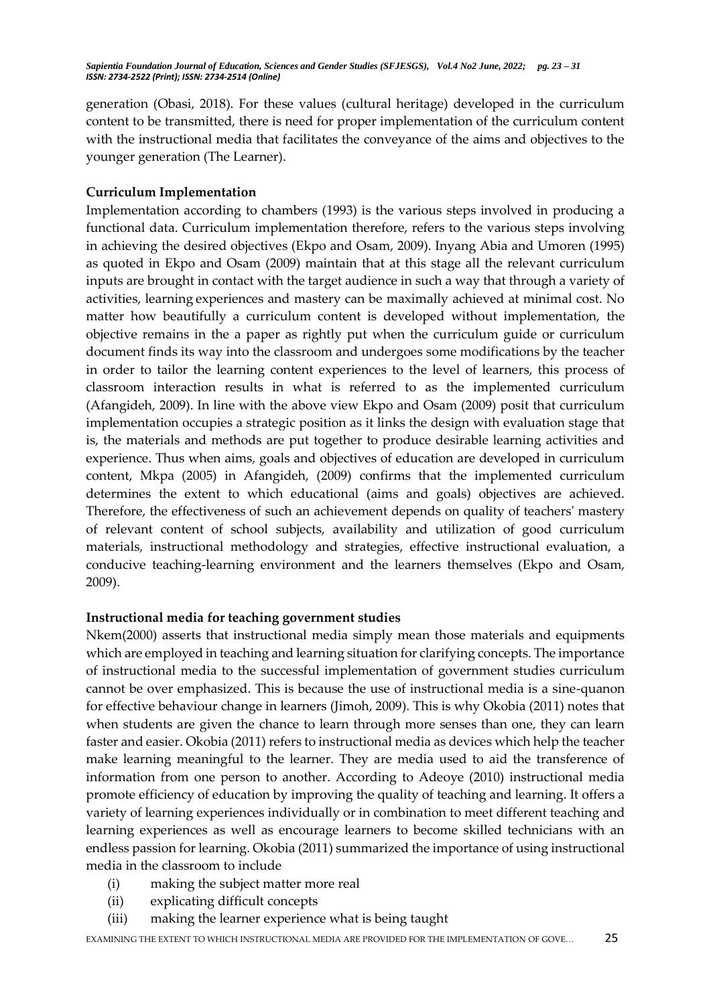generation (Obasi, 2018). For these values (cultural heritage) developed in the curriculum content to be transmitted, there is need for proper implementation of the curriculum content with the instructional media that facilitates the conveyance of the aims and objectives to the younger generation (The Learner).

## **Curriculum Implementation**

Implementation according to chambers (1993) is the various steps involved in producing a functional data. Curriculum implementation therefore, refers to the various steps involving in achieving the desired objectives (Ekpo and Osam, 2009). Inyang Abia and Umoren (1995) as quoted in Ekpo and Osam (2009) maintain that at this stage all the relevant curriculum inputs are brought in contact with the target audience in such a way that through a variety of activities, learning experiences and mastery can be maximally achieved at minimal cost. No matter how beautifully a curriculum content is developed without implementation, the objective remains in the a paper as rightly put when the curriculum guide or curriculum document finds its way into the classroom and undergoes some modifications by the teacher in order to tailor the learning content experiences to the level of learners, this process of classroom interaction results in what is referred to as the implemented curriculum (Afangideh, 2009). In line with the above view Ekpo and Osam (2009) posit that curriculum implementation occupies a strategic position as it links the design with evaluation stage that is, the materials and methods are put together to produce desirable learning activities and experience. Thus when aims, goals and objectives of education are developed in curriculum content, Mkpa (2005) in Afangideh, (2009) confirms that the implemented curriculum determines the extent to which educational (aims and goals) objectives are achieved. Therefore, the effectiveness of such an achievement depends on quality of teachers' mastery of relevant content of school subjects, availability and utilization of good curriculum materials, instructional methodology and strategies, effective instructional evaluation, a conducive teaching-learning environment and the learners themselves (Ekpo and Osam, 2009).

## **Instructional media for teaching government studies**

Nkem(2000) asserts that instructional media simply mean those materials and equipments which are employed in teaching and learning situation for clarifying concepts. The importance of instructional media to the successful implementation of government studies curriculum cannot be over emphasized. This is because the use of instructional media is a sine-quanon for effective behaviour change in learners (Jimoh, 2009). This is why Okobia (2011) notes that when students are given the chance to learn through more senses than one, they can learn faster and easier. Okobia (2011) refers to instructional media as devices which help the teacher make learning meaningful to the learner. They are media used to aid the transference of information from one person to another. According to Adeoye (2010) instructional media promote efficiency of education by improving the quality of teaching and learning. It offers a variety of learning experiences individually or in combination to meet different teaching and learning experiences as well as encourage learners to become skilled technicians with an endless passion for learning. Okobia (2011) summarized the importance of using instructional media in the classroom to include

- (i) making the subject matter more real
- (ii) explicating difficult concepts
- (iii) making the learner experience what is being taught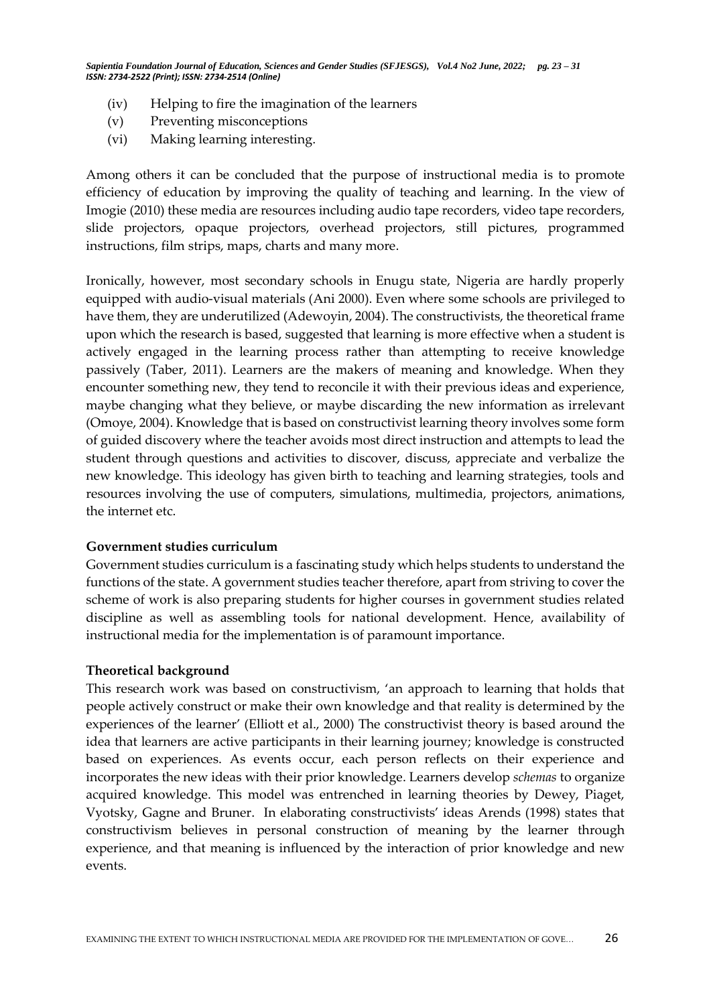- (iv) Helping to fire the imagination of the learners
- (v) Preventing misconceptions
- (vi) Making learning interesting.

Among others it can be concluded that the purpose of instructional media is to promote efficiency of education by improving the quality of teaching and learning. In the view of Imogie (2010) these media are resources including audio tape recorders, video tape recorders, slide projectors, opaque projectors, overhead projectors, still pictures, programmed instructions, film strips, maps, charts and many more.

Ironically, however, most secondary schools in Enugu state, Nigeria are hardly properly equipped with audio-visual materials (Ani 2000). Even where some schools are privileged to have them, they are underutilized (Adewoyin, 2004). The constructivists, the theoretical frame upon which the research is based, suggested that learning is more effective when a student is actively engaged in the learning process rather than attempting to receive knowledge passively (Taber, 2011). Learners are the makers of meaning and knowledge. When they encounter something new, they tend to reconcile it with their previous ideas and experience, maybe changing what they believe, or maybe discarding the new information as irrelevant (Omoye, 2004). Knowledge that is based on constructivist learning theory involves some form of guided discovery where the teacher avoids most direct instruction and attempts to lead the student through questions and activities to discover, discuss, appreciate and verbalize the new knowledge. This ideology has given birth to teaching and learning strategies, tools and resources involving the use of computers, simulations, multimedia, projectors, animations, the internet etc.

## **Government studies curriculum**

Government studies curriculum is a fascinating study which helps students to understand the functions of the state. A government studies teacher therefore, apart from striving to cover the scheme of work is also preparing students for higher courses in government studies related discipline as well as assembling tools for national development. Hence, availability of instructional media for the implementation is of paramount importance.

#### **Theoretical background**

This research work was based on constructivism, 'an approach to learning that holds that people actively construct or make their own knowledge and that reality is determined by the experiences of the learner' (Elliott et al., 2000) The constructivist theory is based around the idea that learners are active participants in their learning journey; knowledge is constructed based on experiences. As events occur, each person reflects on their experience and incorporates the new ideas with their prior knowledge. Learners develop *schemas* to organize acquired knowledge. This model was entrenched in learning theories by Dewey, Piaget, Vyotsky, Gagne and Bruner. In elaborating constructivists' ideas Arends (1998) states that constructivism believes in personal construction of meaning by the learner through experience, and that meaning is influenced by the interaction of prior knowledge and new events.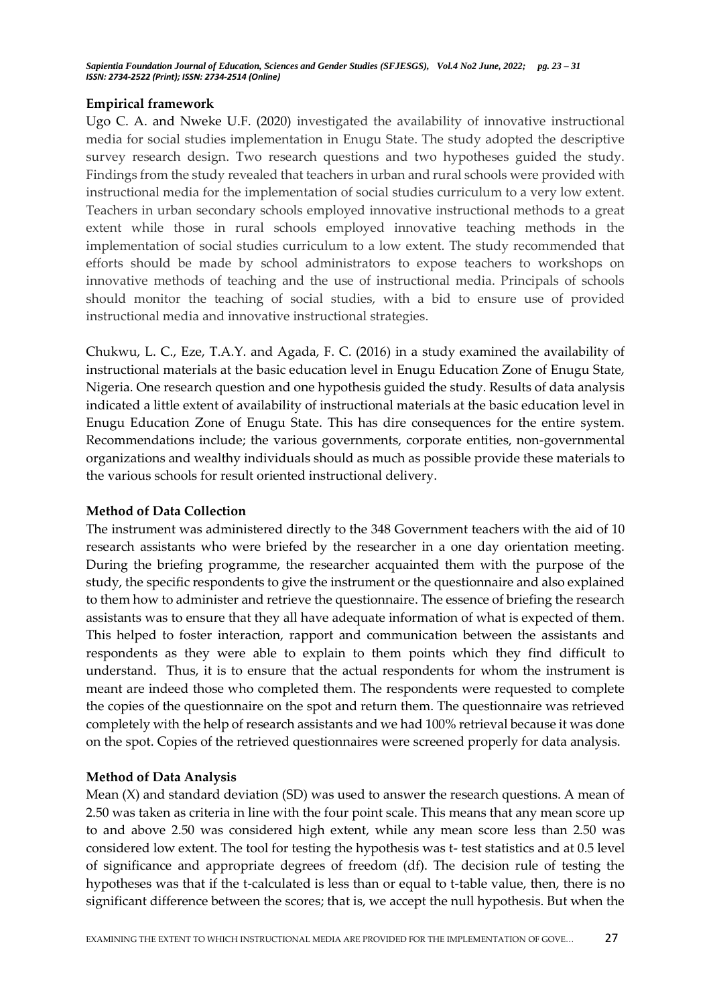### **Empirical framework**

Ugo C. A. and Nweke U.F. (2020) investigated the availability of innovative instructional media for social studies implementation in Enugu State. The study adopted the descriptive survey research design. Two research questions and two hypotheses guided the study. Findings from the study revealed that teachers in urban and rural schools were provided with instructional media for the implementation of social studies curriculum to a very low extent. Teachers in urban secondary schools employed innovative instructional methods to a great extent while those in rural schools employed innovative teaching methods in the implementation of social studies curriculum to a low extent. The study recommended that efforts should be made by school administrators to expose teachers to workshops on innovative methods of teaching and the use of instructional media. Principals of schools should monitor the teaching of social studies, with a bid to ensure use of provided instructional media and innovative instructional strategies.

Chukwu, L. C., Eze, T.A.Y. and Agada, F. C. (2016) in a study examined the availability of instructional materials at the basic education level in Enugu Education Zone of Enugu State, Nigeria. One research question and one hypothesis guided the study. Results of data analysis indicated a little extent of availability of instructional materials at the basic education level in Enugu Education Zone of Enugu State. This has dire consequences for the entire system. Recommendations include; the various governments, corporate entities, non-governmental organizations and wealthy individuals should as much as possible provide these materials to the various schools for result oriented instructional delivery.

## **Method of Data Collection**

The instrument was administered directly to the 348 Government teachers with the aid of 10 research assistants who were briefed by the researcher in a one day orientation meeting. During the briefing programme, the researcher acquainted them with the purpose of the study, the specific respondents to give the instrument or the questionnaire and also explained to them how to administer and retrieve the questionnaire. The essence of briefing the research assistants was to ensure that they all have adequate information of what is expected of them. This helped to foster interaction, rapport and communication between the assistants and respondents as they were able to explain to them points which they find difficult to understand. Thus, it is to ensure that the actual respondents for whom the instrument is meant are indeed those who completed them. The respondents were requested to complete the copies of the questionnaire on the spot and return them. The questionnaire was retrieved completely with the help of research assistants and we had 100% retrieval because it was done on the spot. Copies of the retrieved questionnaires were screened properly for data analysis.

## **Method of Data Analysis**

Mean (X) and standard deviation (SD) was used to answer the research questions. A mean of 2.50 was taken as criteria in line with the four point scale. This means that any mean score up to and above 2.50 was considered high extent, while any mean score less than 2.50 was considered low extent. The tool for testing the hypothesis was t- test statistics and at 0.5 level of significance and appropriate degrees of freedom (df). The decision rule of testing the hypotheses was that if the t-calculated is less than or equal to t-table value, then, there is no significant difference between the scores; that is, we accept the null hypothesis. But when the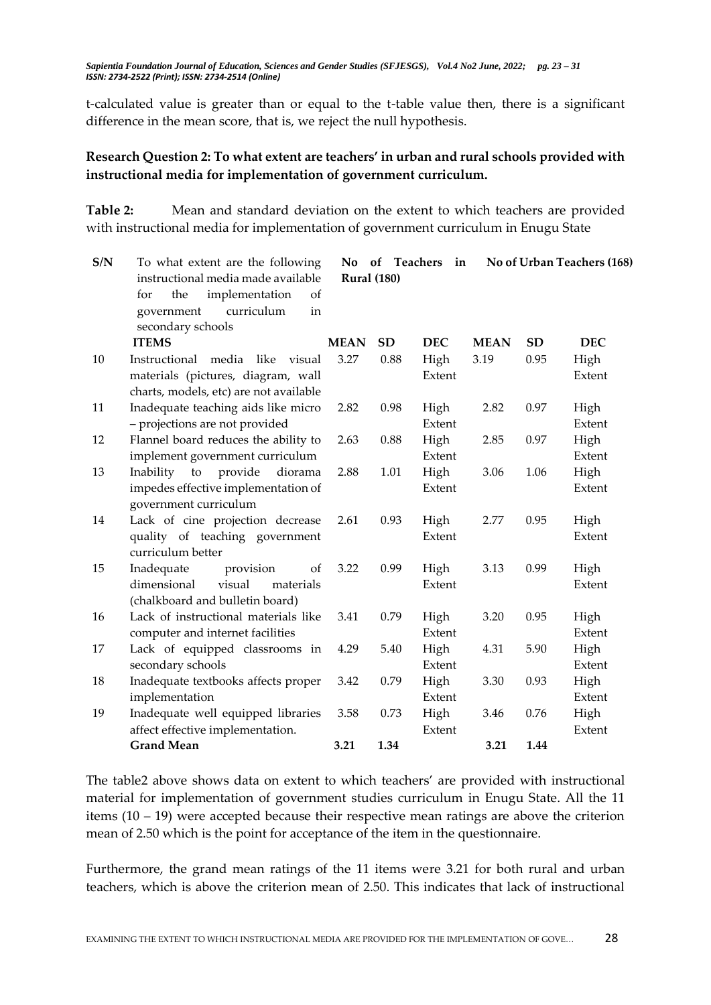t-calculated value is greater than or equal to the t-table value then, there is a significant difference in the mean score, that is, we reject the null hypothesis.

# **Research Question 2: To what extent are teachers' in urban and rural schools provided with instructional media for implementation of government curriculum.**

**Table 2:** Mean and standard deviation on the extent to which teachers are provided with instructional media for implementation of government curriculum in Enugu State

| S/N    | To what extent are the following         | No.<br>of<br>Teachers<br>No of Urban Teachers (168)<br>in |           |            |             |           |            |
|--------|------------------------------------------|-----------------------------------------------------------|-----------|------------|-------------|-----------|------------|
|        | instructional media made available       | <b>Rural</b> (180)                                        |           |            |             |           |            |
|        | implementation<br>for<br>the<br>of       |                                                           |           |            |             |           |            |
|        | curriculum<br>government<br>in           |                                                           |           |            |             |           |            |
|        | secondary schools                        |                                                           |           |            |             |           |            |
|        | <b>ITEMS</b>                             | <b>MEAN</b>                                               | <b>SD</b> | <b>DEC</b> | <b>MEAN</b> | <b>SD</b> | <b>DEC</b> |
| $10\,$ | Instructional<br>media like<br>visual    | 3.27                                                      | 0.88      | High       | 3.19        | 0.95      | High       |
|        | materials (pictures, diagram, wall       |                                                           |           | Extent     |             |           | Extent     |
|        | charts, models, etc) are not available   |                                                           |           |            |             |           |            |
| 11     | Inadequate teaching aids like micro      | 2.82                                                      | 0.98      | High       | 2.82        | 0.97      | High       |
|        | - projections are not provided           |                                                           |           | Extent     |             |           | Extent     |
| 12     | Flannel board reduces the ability to     | 2.63                                                      | 0.88      | High       | 2.85        | 0.97      | High       |
|        | implement government curriculum          |                                                           |           | Extent     |             |           | Extent     |
| 13     | Inability<br>provide<br>to<br>diorama    | 2.88                                                      | 1.01      | High       | 3.06        | 1.06      | High       |
|        | impedes effective implementation of      |                                                           |           | Extent     |             |           | Extent     |
|        | government curriculum                    |                                                           |           |            |             |           |            |
| 14     | Lack of cine projection decrease         | 2.61                                                      | 0.93      | High       | 2.77        | 0.95      | High       |
|        | quality of teaching government           |                                                           |           | Extent     |             |           | Extent     |
|        | curriculum better                        |                                                           |           |            |             |           |            |
| 15     | provision<br>Inadequate<br><sub>of</sub> | 3.22                                                      | 0.99      | High       | 3.13        | 0.99      | High       |
|        | visual<br>dimensional<br>materials       |                                                           |           | Extent     |             |           | Extent     |
|        | (chalkboard and bulletin board)          |                                                           |           |            |             |           |            |
| 16     | Lack of instructional materials like     | 3.41                                                      | 0.79      | High       | 3.20        | 0.95      | High       |
|        | computer and internet facilities         |                                                           |           | Extent     |             |           | Extent     |
| 17     | Lack of equipped classrooms in           | 4.29                                                      | 5.40      | High       | 4.31        | 5.90      | High       |
|        | secondary schools                        |                                                           |           | Extent     |             |           | Extent     |
| 18     | Inadequate textbooks affects proper      | 3.42                                                      | 0.79      | High       | 3.30        | 0.93      | High       |
|        | implementation                           |                                                           |           | Extent     |             |           | Extent     |
| 19     | Inadequate well equipped libraries       | 3.58                                                      | 0.73      | High       | 3.46        | 0.76      | High       |
|        | affect effective implementation.         |                                                           |           | Extent     |             |           | Extent     |
|        | <b>Grand Mean</b>                        | 3.21                                                      | 1.34      |            | 3.21        | 1.44      |            |

The table2 above shows data on extent to which teachers' are provided with instructional material for implementation of government studies curriculum in Enugu State. All the 11 items (10 – 19) were accepted because their respective mean ratings are above the criterion mean of 2.50 which is the point for acceptance of the item in the questionnaire.

Furthermore, the grand mean ratings of the 11 items were 3.21 for both rural and urban teachers, which is above the criterion mean of 2.50. This indicates that lack of instructional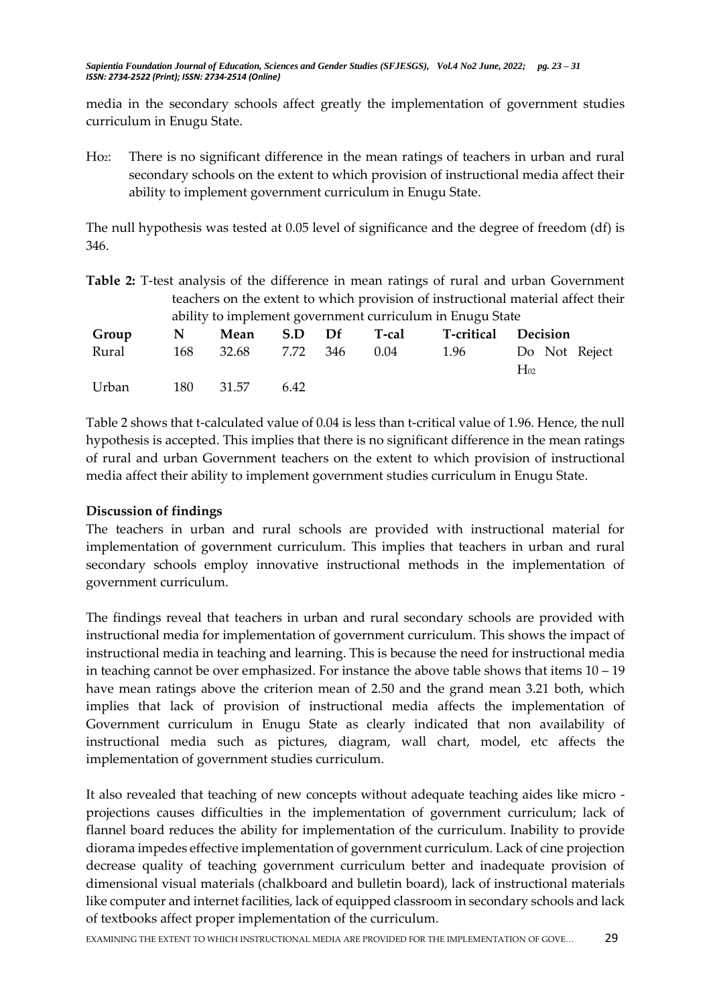media in the secondary schools affect greatly the implementation of government studies curriculum in Enugu State.

Ho2: There is no significant difference in the mean ratings of teachers in urban and rural secondary schools on the extent to which provision of instructional media affect their ability to implement government curriculum in Enugu State.

The null hypothesis was tested at 0.05 level of significance and the degree of freedom (df) is 346.

| Table 2: T-test analysis of the difference in mean ratings of rural and urban Government |  |  |  |  |  |  |
|------------------------------------------------------------------------------------------|--|--|--|--|--|--|
| teachers on the extent to which provision of instructional material affect their         |  |  |  |  |  |  |
| ability to implement government curriculum in Enugu State                                |  |  |  |  |  |  |

| Group N Mean S.D Df T-cal T-critical Decision |           |      |  |                                                              |
|-----------------------------------------------|-----------|------|--|--------------------------------------------------------------|
|                                               |           |      |  | Rural 168 32.68 7.72 346 0.04 1.96 Do Not Reject<br>$H_{02}$ |
| Urban                                         | 180 31.57 | 6.42 |  |                                                              |

Table 2 shows that t-calculated value of 0.04 is less than t-critical value of 1.96. Hence, the null hypothesis is accepted. This implies that there is no significant difference in the mean ratings of rural and urban Government teachers on the extent to which provision of instructional media affect their ability to implement government studies curriculum in Enugu State.

## **Discussion of findings**

The teachers in urban and rural schools are provided with instructional material for implementation of government curriculum. This implies that teachers in urban and rural secondary schools employ innovative instructional methods in the implementation of government curriculum.

The findings reveal that teachers in urban and rural secondary schools are provided with instructional media for implementation of government curriculum. This shows the impact of instructional media in teaching and learning. This is because the need for instructional media in teaching cannot be over emphasized. For instance the above table shows that items 10 – 19 have mean ratings above the criterion mean of 2.50 and the grand mean 3.21 both, which implies that lack of provision of instructional media affects the implementation of Government curriculum in Enugu State as clearly indicated that non availability of instructional media such as pictures, diagram, wall chart, model, etc affects the implementation of government studies curriculum.

It also revealed that teaching of new concepts without adequate teaching aides like micro projections causes difficulties in the implementation of government curriculum; lack of flannel board reduces the ability for implementation of the curriculum. Inability to provide diorama impedes effective implementation of government curriculum. Lack of cine projection decrease quality of teaching government curriculum better and inadequate provision of dimensional visual materials (chalkboard and bulletin board), lack of instructional materials like computer and internet facilities, lack of equipped classroom in secondary schools and lack of textbooks affect proper implementation of the curriculum.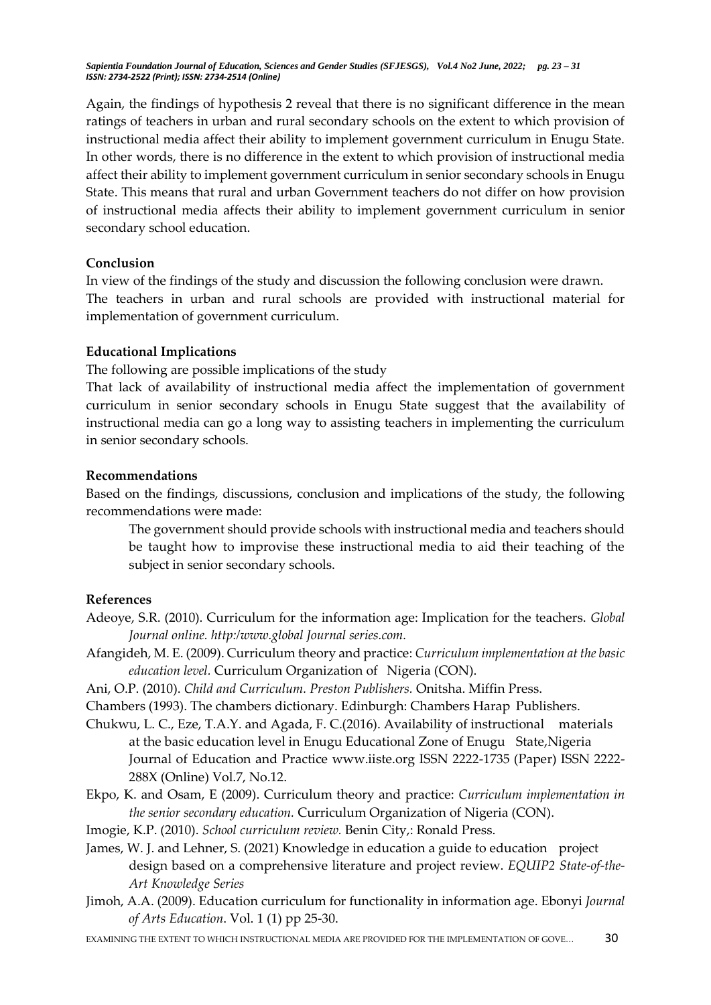Again, the findings of hypothesis 2 reveal that there is no significant difference in the mean ratings of teachers in urban and rural secondary schools on the extent to which provision of instructional media affect their ability to implement government curriculum in Enugu State. In other words, there is no difference in the extent to which provision of instructional media affect their ability to implement government curriculum in senior secondary schools in Enugu State. This means that rural and urban Government teachers do not differ on how provision of instructional media affects their ability to implement government curriculum in senior secondary school education.

## **Conclusion**

In view of the findings of the study and discussion the following conclusion were drawn. The teachers in urban and rural schools are provided with instructional material for implementation of government curriculum.

# **Educational Implications**

The following are possible implications of the study

That lack of availability of instructional media affect the implementation of government curriculum in senior secondary schools in Enugu State suggest that the availability of instructional media can go a long way to assisting teachers in implementing the curriculum in senior secondary schools.

## **Recommendations**

Based on the findings, discussions, conclusion and implications of the study, the following recommendations were made:

The government should provide schools with instructional media and teachers should be taught how to improvise these instructional media to aid their teaching of the subject in senior secondary schools.

# **References**

- Adeoye, S.R. (2010). Curriculum for the information age: Implication for the teachers. *Global Journal online. http:/www.global Journal series.com.*
- Afangideh, M. E. (2009). Curriculum theory and practice: *Curriculum implementation at the basic education level.* Curriculum Organization of Nigeria (CON).
- Ani, O.P. (2010). *Child and Curriculum. Preston Publishers.* Onitsha. Miffin Press.

Chambers (1993). The chambers dictionary. Edinburgh: Chambers Harap Publishers.

- Chukwu, L. C., Eze, T.A.Y. and Agada, F. C.(2016). Availability of instructional materials at the basic education level in Enugu Educational Zone of Enugu State,Nigeria Journal of Education and Practice www.iiste.org ISSN 2222-1735 (Paper) ISSN 2222- 288X (Online) Vol.7, No.12.
- Ekpo, K. and Osam, E (2009). Curriculum theory and practice: *Curriculum implementation in the senior secondary education.* Curriculum Organization of Nigeria (CON).
- Imogie, K.P. (2010). *School curriculum review.* Benin City,: Ronald Press.
- James, W. J. and Lehner, S. (2021) Knowledge in education a guide to education project design based on a comprehensive literature and project review. *EQUIP2 State-of-the-Art Knowledge Series*
- Jimoh, A.A. (2009). Education curriculum for functionality in information age. Ebonyi *Journal of Arts Education*. Vol. 1 (1) pp 25-30.